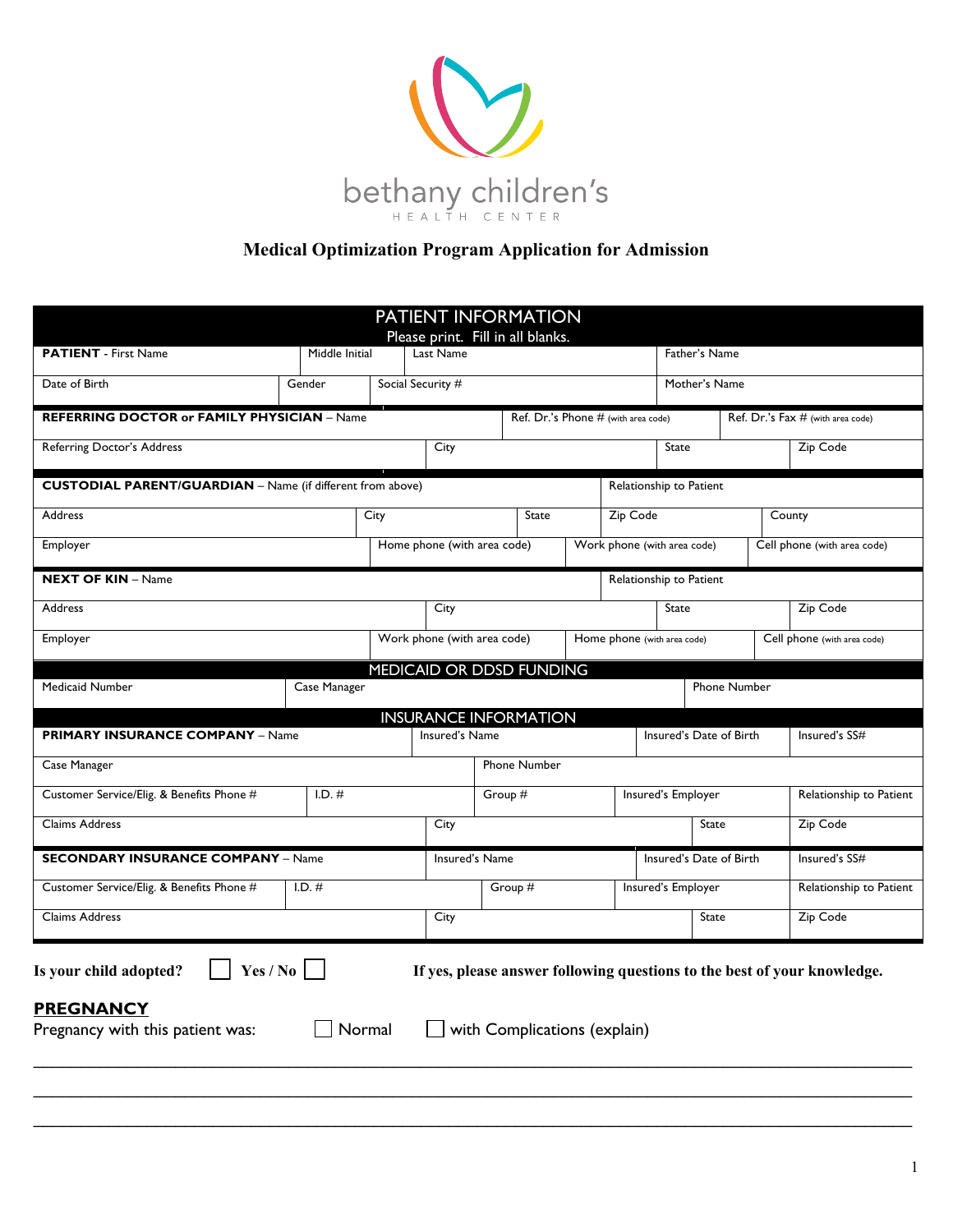

## **Medical Optimization Program Application for Admission**

|                                                                                |                |        | PATIENT INFORMATION                            |         |                                     |                             |                    |                         |                                                                          |
|--------------------------------------------------------------------------------|----------------|--------|------------------------------------------------|---------|-------------------------------------|-----------------------------|--------------------|-------------------------|--------------------------------------------------------------------------|
| <b>PATIENT</b> - First Name                                                    | Middle Initial |        | Please print. Fill in all blanks.<br>Last Name |         |                                     |                             |                    | Father's Name           |                                                                          |
|                                                                                |                |        |                                                |         |                                     |                             |                    |                         |                                                                          |
| Date of Birth                                                                  | Gender         |        | Social Security #                              |         |                                     |                             |                    | Mother's Name           |                                                                          |
| <b>REFERRING DOCTOR or FAMILY PHYSICIAN - Name</b>                             |                |        |                                                |         | Ref. Dr.'s Phone # (with area code) |                             |                    |                         | Ref. Dr.'s Fax # (with area code)                                        |
| Referring Doctor's Address                                                     |                |        | City                                           |         |                                     |                             | State              |                         | Zip Code                                                                 |
| <b>CUSTODIAL PARENT/GUARDIAN</b> - Name (if different from above)              |                |        |                                                |         |                                     | Relationship to Patient     |                    |                         |                                                                          |
| Address                                                                        |                | City   |                                                |         | State                               | Zip Code                    |                    |                         | County                                                                   |
| Employer                                                                       |                |        | Home phone (with area code)                    |         |                                     | Work phone (with area code) |                    |                         | Cell phone (with area code)                                              |
| <b>NEXT OF KIN - Name</b>                                                      |                |        |                                                |         |                                     | Relationship to Patient     |                    |                         |                                                                          |
| Address                                                                        |                |        | City                                           |         |                                     |                             | State              |                         | Zip Code                                                                 |
| Employer                                                                       |                |        | Work phone (with area code)                    |         |                                     | Home phone (with area code) |                    |                         | Cell phone (with area code)                                              |
|                                                                                |                |        | MEDICAID OR DDSD FUNDING                       |         |                                     |                             |                    |                         |                                                                          |
| Medicaid Number                                                                | Case Manager   |        |                                                |         |                                     |                             |                    | Phone Number            |                                                                          |
|                                                                                |                |        | <b>INSURANCE INFORMATION</b>                   |         |                                     |                             |                    |                         |                                                                          |
| <b>PRIMARY INSURANCE COMPANY - Name</b>                                        |                |        | Insured's Name                                 |         |                                     |                             |                    | Insured's Date of Birth | Insured's SS#                                                            |
| Case Manager                                                                   |                |        |                                                |         | Phone Number                        |                             |                    |                         |                                                                          |
| Customer Service/Elig. & Benefits Phone #                                      | $I.D.$ #       |        |                                                | Group # |                                     |                             | Insured's Employer |                         | Relationship to Patient                                                  |
| Claims Address                                                                 |                |        | City                                           |         |                                     |                             |                    | <b>State</b>            | Zip Code                                                                 |
| <b>SECONDARY INSURANCE COMPANY - Name</b>                                      |                |        | Insured's Name                                 |         |                                     |                             |                    | Insured's Date of Birth | Insured's SS#                                                            |
| Customer Service/Elig. & Benefits Phone #                                      | $I.D.$ #       |        |                                                | Group # |                                     |                             | Insured's Employer |                         | Relationship to Patient                                                  |
| Claims Address                                                                 |                |        | City                                           |         |                                     |                             |                    | State                   | Zip Code                                                                 |
| Is your child adopted?<br><b>PREGNANCY</b><br>Pregnancy with this patient was: | Yes / No       | Normal |                                                |         | with Complications (explain)        |                             |                    |                         | If yes, please answer following questions to the best of your knowledge. |
|                                                                                |                |        |                                                |         |                                     |                             |                    |                         |                                                                          |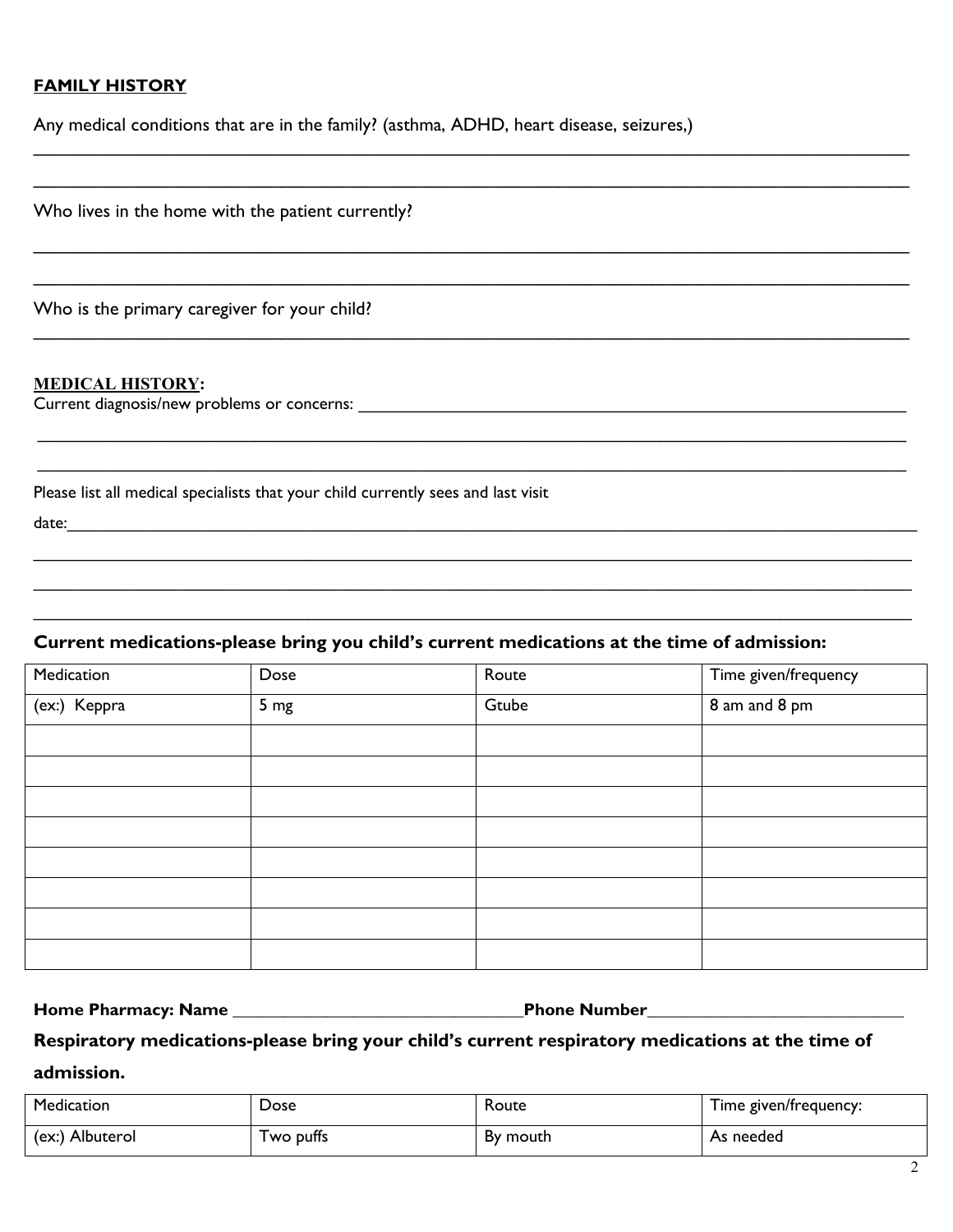### **FAMILY HISTORY**

Any medical conditions that are in the family? (asthma, ADHD, heart disease, seizures,)

 $\_$  , and the set of the set of the set of the set of the set of the set of the set of the set of the set of the set of the set of the set of the set of the set of the set of the set of the set of the set of the set of th

 $\_$  , and the set of the set of the set of the set of the set of the set of the set of the set of the set of the set of the set of the set of the set of the set of the set of the set of the set of the set of the set of th

 $\_$  , and the set of the set of the set of the set of the set of the set of the set of the set of the set of the set of the set of the set of the set of the set of the set of the set of the set of the set of the set of th

 $\_$  , and the set of the set of the set of the set of the set of the set of the set of the set of the set of the set of the set of the set of the set of the set of the set of the set of the set of the set of the set of th

 $\mathcal{L}_\mathcal{L} = \{ \mathcal{L}_\mathcal{L} = \{ \mathcal{L}_\mathcal{L} = \{ \mathcal{L}_\mathcal{L} = \{ \mathcal{L}_\mathcal{L} = \{ \mathcal{L}_\mathcal{L} = \{ \mathcal{L}_\mathcal{L} = \{ \mathcal{L}_\mathcal{L} = \{ \mathcal{L}_\mathcal{L} = \{ \mathcal{L}_\mathcal{L} = \{ \mathcal{L}_\mathcal{L} = \{ \mathcal{L}_\mathcal{L} = \{ \mathcal{L}_\mathcal{L} = \{ \mathcal{L}_\mathcal{L} = \{ \mathcal{L}_\mathcal{$ 

 $\mathcal{L}_\mathcal{L} = \mathcal{L}_\mathcal{L} = \mathcal{L}_\mathcal{L} = \mathcal{L}_\mathcal{L} = \mathcal{L}_\mathcal{L} = \mathcal{L}_\mathcal{L} = \mathcal{L}_\mathcal{L} = \mathcal{L}_\mathcal{L} = \mathcal{L}_\mathcal{L} = \mathcal{L}_\mathcal{L} = \mathcal{L}_\mathcal{L} = \mathcal{L}_\mathcal{L} = \mathcal{L}_\mathcal{L} = \mathcal{L}_\mathcal{L} = \mathcal{L}_\mathcal{L} = \mathcal{L}_\mathcal{L} = \mathcal{L}_\mathcal{L}$  $\mathcal{L}_\mathcal{L} = \{ \mathcal{L}_\mathcal{L} = \{ \mathcal{L}_\mathcal{L} = \{ \mathcal{L}_\mathcal{L} = \{ \mathcal{L}_\mathcal{L} = \{ \mathcal{L}_\mathcal{L} = \{ \mathcal{L}_\mathcal{L} = \{ \mathcal{L}_\mathcal{L} = \{ \mathcal{L}_\mathcal{L} = \{ \mathcal{L}_\mathcal{L} = \{ \mathcal{L}_\mathcal{L} = \{ \mathcal{L}_\mathcal{L} = \{ \mathcal{L}_\mathcal{L} = \{ \mathcal{L}_\mathcal{L} = \{ \mathcal{L}_\mathcal{$ 

 $\_$  $\_$  , and the set of the set of the set of the set of the set of the set of the set of the set of the set of the set of the set of the set of the set of the set of the set of the set of the set of the set of the set of th  $\mathcal{L}_\text{max} = \mathcal{L}_\text{max} = \mathcal{L}_\text{max} = \mathcal{L}_\text{max} = \mathcal{L}_\text{max} = \mathcal{L}_\text{max} = \mathcal{L}_\text{max} = \mathcal{L}_\text{max} = \mathcal{L}_\text{max} = \mathcal{L}_\text{max} = \mathcal{L}_\text{max} = \mathcal{L}_\text{max} = \mathcal{L}_\text{max} = \mathcal{L}_\text{max} = \mathcal{L}_\text{max} = \mathcal{L}_\text{max} = \mathcal{L}_\text{max} = \mathcal{L}_\text{max} = \mathcal{$ 

Who lives in the home with the patient currently?

Who is the primary caregiver for your child?

#### **MEDICAL HISTORY:**

Current diagnosis/new problems or concerns: \_\_\_\_\_\_\_\_\_\_\_\_\_\_\_\_\_\_\_\_\_\_\_\_\_\_\_\_\_\_\_\_\_\_\_\_\_\_\_\_\_\_\_\_\_\_\_\_\_\_\_\_\_\_\_\_\_\_

Please list all medical specialists that your child currently sees and last visit

date:

#### **Current medications-please bring you child's current medications at the time of admission:**

| Medication   | Dose            | Route | Time given/frequency |
|--------------|-----------------|-------|----------------------|
| (ex:) Keppra | 5 <sub>mg</sub> | Gtube | 8 am and 8 pm        |
|              |                 |       |                      |
|              |                 |       |                      |
|              |                 |       |                      |
|              |                 |       |                      |
|              |                 |       |                      |
|              |                 |       |                      |
|              |                 |       |                      |
|              |                 |       |                      |

**Home Pharmacy: Name \_\_\_\_\_\_\_\_\_\_\_\_\_\_\_\_\_\_\_\_\_\_\_\_\_\_\_\_\_\_\_\_\_\_Phone Number\_\_\_\_\_\_\_\_\_\_\_\_\_\_\_\_\_\_\_\_\_\_\_\_\_\_\_\_\_\_**

## **Respiratory medications-please bring your child's current respiratory medications at the time of admission.**

| Medication      | Dose       | Route    | Time given/frequency: |
|-----------------|------------|----------|-----------------------|
| (ex:) Albuterol | I wo putts | By mouth | As needed             |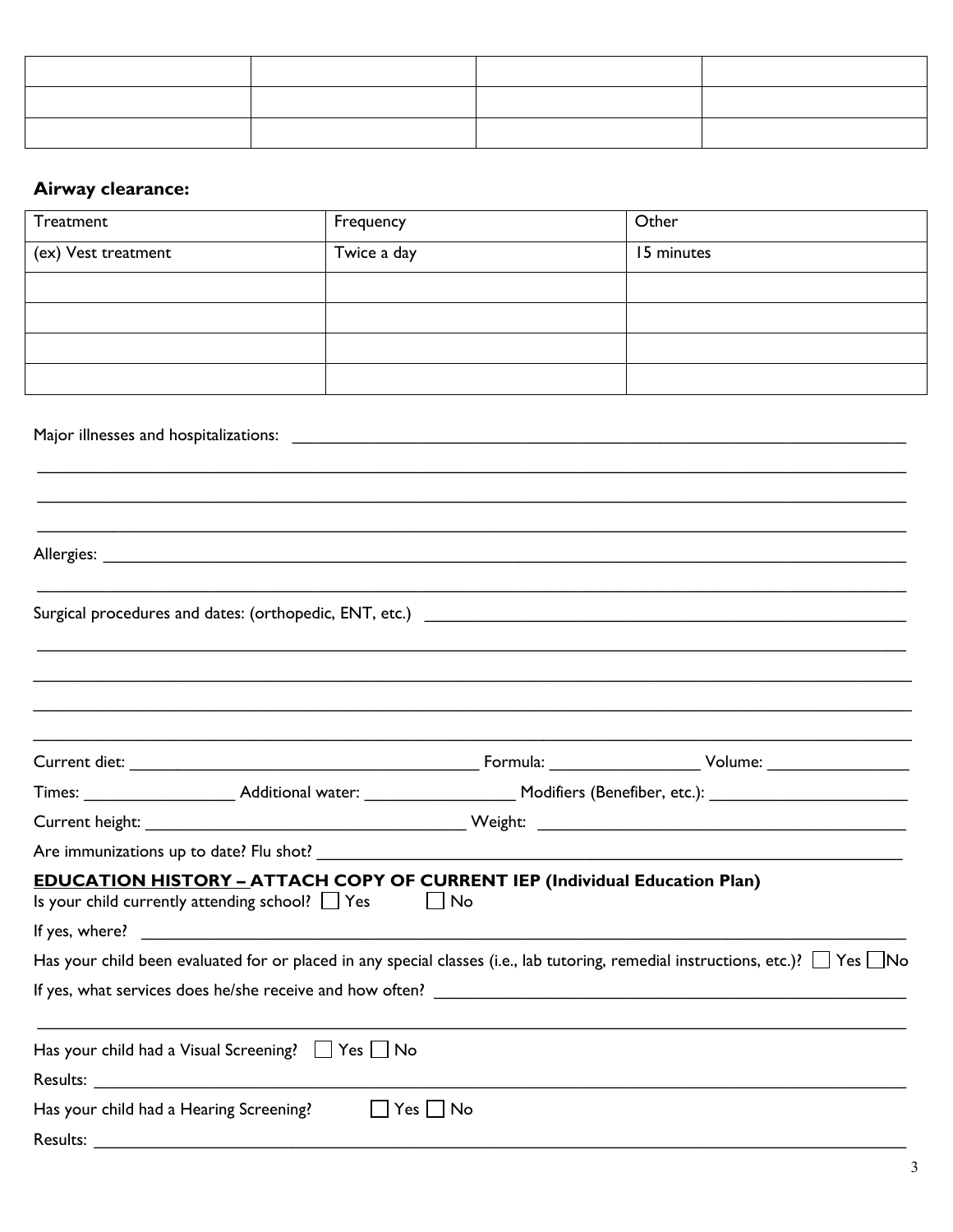| $\begin{tabular}{ccccc} \multicolumn{2}{c }{\textbf{--}} & \multicolumn{2}{c }{\textbf{--}}\\ \multicolumn{2}{c }{\textbf{--}} & \multicolumn{2}{c }{\textbf{--}}\\ \multicolumn{2}{c }{\textbf{--}} & \multicolumn{2}{c }{\textbf{--}}\\ \multicolumn{2}{c }{\textbf{--}} & \multicolumn{2}{c }{\textbf{--}}\\ \multicolumn{2}{c }{\textbf{--}} & \multicolumn{2}{c }{\textbf{--}}\\ \multicolumn{2}{c }{\textbf{--}} & \multicolumn{2}{c }{\textbf{--}}\\ \multicolumn{2}{$ | the contract of the contract of |  |
|-------------------------------------------------------------------------------------------------------------------------------------------------------------------------------------------------------------------------------------------------------------------------------------------------------------------------------------------------------------------------------------------------------------------------------------------------------------------------------|---------------------------------|--|
|                                                                                                                                                                                                                                                                                                                                                                                                                                                                               |                                 |  |
|                                                                                                                                                                                                                                                                                                                                                                                                                                                                               |                                 |  |

# Airway clearance:

| Treatment                                           | Frequency                                                                                                                                           | Other                                                                                                                                      |
|-----------------------------------------------------|-----------------------------------------------------------------------------------------------------------------------------------------------------|--------------------------------------------------------------------------------------------------------------------------------------------|
| (ex) Vest treatment                                 | Twice a day                                                                                                                                         | 15 minutes                                                                                                                                 |
|                                                     |                                                                                                                                                     |                                                                                                                                            |
|                                                     |                                                                                                                                                     |                                                                                                                                            |
|                                                     |                                                                                                                                                     |                                                                                                                                            |
|                                                     |                                                                                                                                                     |                                                                                                                                            |
|                                                     |                                                                                                                                                     |                                                                                                                                            |
|                                                     |                                                                                                                                                     |                                                                                                                                            |
|                                                     |                                                                                                                                                     |                                                                                                                                            |
|                                                     |                                                                                                                                                     |                                                                                                                                            |
|                                                     |                                                                                                                                                     |                                                                                                                                            |
|                                                     |                                                                                                                                                     |                                                                                                                                            |
|                                                     |                                                                                                                                                     |                                                                                                                                            |
|                                                     | <b>EDUCATION HISTORY - ATTACH COPY OF CURRENT IEP (Individual Education Plan)</b><br>Is your child currently attending school? $\Box$ Yes $\Box$ No | Has your child been evaluated for or placed in any special classes (i.e., lab tutoring, remedial instructions, etc.)? $\Box$ Yes $\Box$ No |
|                                                     | Has your child had a Visual Screening? $\Box$ Yes $\Box$ No                                                                                         |                                                                                                                                            |
| Has your child had a Hearing Screening?<br>Results: | $Yes \Box$ No<br>$\mathcal{L}^{\mathcal{A}}$                                                                                                        |                                                                                                                                            |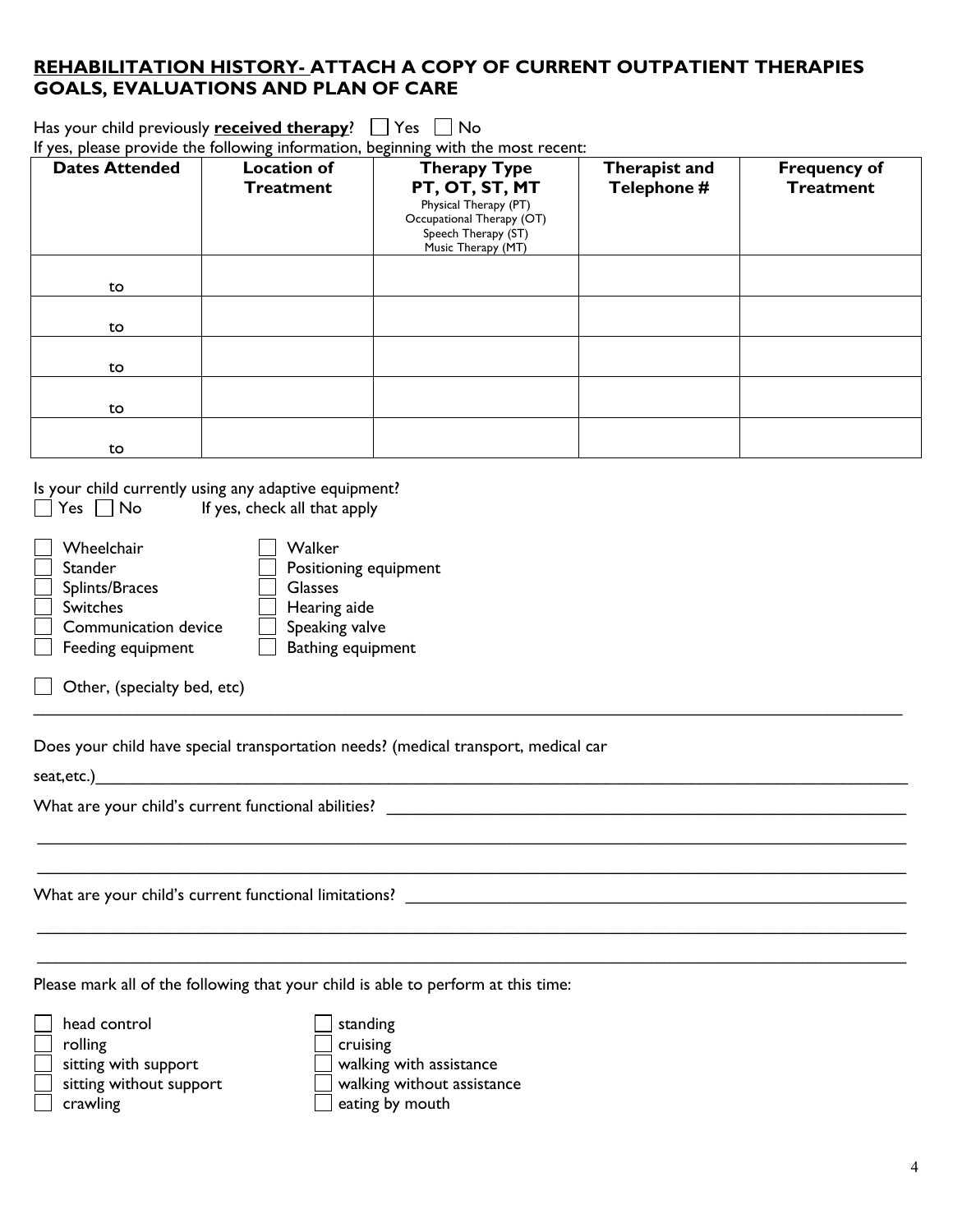## **REHABILITATION HISTORY- ATTACH A COPY OF CURRENT OUTPATIENT THERAPIES GOALS, EVALUATIONS AND PLAN OF CARE**

Has your child previously **received therapy**?  $\Box$  Yes  $\Box$  No

|  |  |  |  | If yes, please provide the following information, beginning with the most recent: |  |
|--|--|--|--|-----------------------------------------------------------------------------------|--|
|  |  |  |  |                                                                                   |  |

| <b>Dates Attended</b> | <b>Location of</b><br><b>Treatment</b> | <b>Therapy Type</b><br>PT, OT, ST, MT<br>Physical Therapy (PT)<br>Occupational Therapy (OT)<br>Speech Therapy (ST)<br>Music Therapy (MT) | Therapist and<br>Telephone # | <b>Frequency of</b><br><b>Treatment</b> |
|-----------------------|----------------------------------------|------------------------------------------------------------------------------------------------------------------------------------------|------------------------------|-----------------------------------------|
| to                    |                                        |                                                                                                                                          |                              |                                         |
| to                    |                                        |                                                                                                                                          |                              |                                         |
| to                    |                                        |                                                                                                                                          |                              |                                         |
| to                    |                                        |                                                                                                                                          |                              |                                         |
| to                    |                                        |                                                                                                                                          |                              |                                         |

 $\mathcal{L}_\mathcal{L} = \mathcal{L}_\mathcal{L} = \mathcal{L}_\mathcal{L} = \mathcal{L}_\mathcal{L} = \mathcal{L}_\mathcal{L} = \mathcal{L}_\mathcal{L} = \mathcal{L}_\mathcal{L} = \mathcal{L}_\mathcal{L} = \mathcal{L}_\mathcal{L} = \mathcal{L}_\mathcal{L} = \mathcal{L}_\mathcal{L} = \mathcal{L}_\mathcal{L} = \mathcal{L}_\mathcal{L} = \mathcal{L}_\mathcal{L} = \mathcal{L}_\mathcal{L} = \mathcal{L}_\mathcal{L} = \mathcal{L}_\mathcal{L}$ 

 $\mathcal{L}_\mathcal{L} = \{ \mathcal{L}_\mathcal{L} = \{ \mathcal{L}_\mathcal{L} = \{ \mathcal{L}_\mathcal{L} = \{ \mathcal{L}_\mathcal{L} = \{ \mathcal{L}_\mathcal{L} = \{ \mathcal{L}_\mathcal{L} = \{ \mathcal{L}_\mathcal{L} = \{ \mathcal{L}_\mathcal{L} = \{ \mathcal{L}_\mathcal{L} = \{ \mathcal{L}_\mathcal{L} = \{ \mathcal{L}_\mathcal{L} = \{ \mathcal{L}_\mathcal{L} = \{ \mathcal{L}_\mathcal{L} = \{ \mathcal{L}_\mathcal{$  $\mathcal{L}_\mathcal{L} = \mathcal{L}_\mathcal{L} = \mathcal{L}_\mathcal{L} = \mathcal{L}_\mathcal{L} = \mathcal{L}_\mathcal{L} = \mathcal{L}_\mathcal{L} = \mathcal{L}_\mathcal{L} = \mathcal{L}_\mathcal{L} = \mathcal{L}_\mathcal{L} = \mathcal{L}_\mathcal{L} = \mathcal{L}_\mathcal{L} = \mathcal{L}_\mathcal{L} = \mathcal{L}_\mathcal{L} = \mathcal{L}_\mathcal{L} = \mathcal{L}_\mathcal{L} = \mathcal{L}_\mathcal{L} = \mathcal{L}_\mathcal{L}$ 

Is your child currently using any adaptive equipment?  $Yes \tNo$  If yes, check all that apply

| Wheelchair<br><b>Stander</b><br>Splints/Braces<br><b>Switches</b><br>Communication device<br>Feeding equipment | Walker<br>Positioning equipment<br><b>Glasses</b><br>Hearing aide<br>Speaking valve<br>Bathing equipment |
|----------------------------------------------------------------------------------------------------------------|----------------------------------------------------------------------------------------------------------|
|                                                                                                                |                                                                                                          |

 $\Box$  Other, (specialty bed, etc)

Does your child have special transportation needs? (medical transport, medical car

seat,etc.)\_\_\_\_\_\_\_\_\_\_\_\_\_\_\_\_\_\_\_\_\_\_\_\_\_\_\_\_\_\_\_\_\_\_\_\_\_\_\_\_\_\_\_\_\_\_\_\_\_\_\_\_\_\_\_\_\_\_\_\_\_\_\_\_\_\_\_\_\_\_\_\_\_\_\_\_\_\_\_\_\_\_\_\_\_\_

What are your child's current functional abilities? \_\_\_\_\_\_\_\_\_\_\_\_\_\_\_\_\_\_\_\_\_\_\_\_\_\_\_\_\_\_\_\_\_\_\_\_\_\_\_\_\_\_\_\_\_\_\_\_\_\_\_\_\_\_\_

What are your child's current functional limitations?

Please mark all of the following that your child is able to perform at this time:

| head control            | standing                        |
|-------------------------|---------------------------------|
| rolling                 | cruising                        |
| sitting with support    | $\perp$ walking with assistance |
| sitting without support | walking without assistance      |
| crawling                | eating by mouth                 |